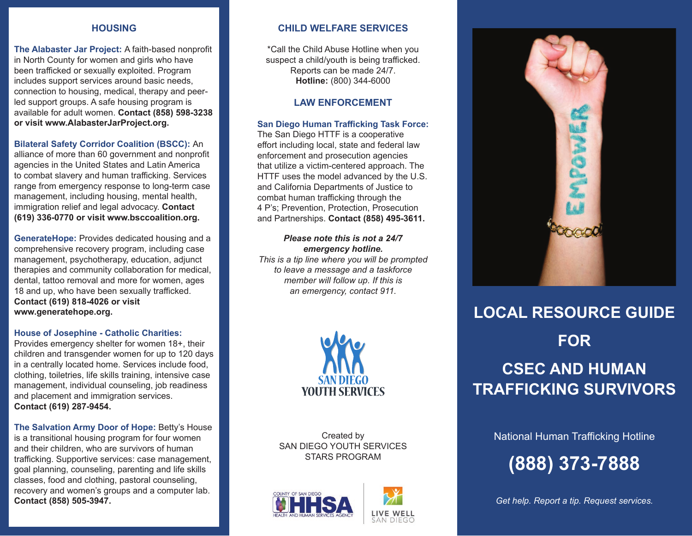## **HOUSING**

**The Alabaster Jar Project:** A faith-based nonprofit in North County for women and girls who have been trafficked or sexually exploited. Program includes support services around basic needs, connection to housing, medical, therapy and peerled support groups. A safe housing program is available for adult women. **Contact (858) 598-3238 or visit www.AlabasterJarProject.org.**

## **Bilateral Safety Corridor Coalition (BSCC):** An

alliance of more than 60 government and nonprofit agencies in the United States and Latin America to combat slavery and human trafficking. Services range from emergency response to long-term case management, including housing, mental health, immigration relief and legal advocacy. **Contact (619) 336-0770 or visit www.bsccoalition.org.** 

**GenerateHope:** Provides dedicated housing and a comprehensive recovery program, including case management, psychotherapy, education, adjunct therapies and community collaboration for medical, dental, tattoo removal and more for women, ages 18 and up, who have been sexually trafficked. **Contact (619) 818-4026 or visit www.generatehope.org.**

### **House of Josephine - Catholic Charities:**

Provides emergency shelter for women 18+, their children and transgender women for up to 120 days in a centrally located home. Services include food, clothing, toiletries, life skills training, intensive case management, individual counseling, job readiness and placement and immigration services. **Contact (619) 287-9454.**

**The Salvation Army Door of Hope:** Betty's House is a transitional housing program for four women and their children, who are survivors of human trafficking. Supportive services: case management, goal planning, counseling, parenting and life skills classes, food and clothing, pastoral counseling, recovery and women's groups and a computer lab. **Contact (858) 505-3947.**

# **CHILD WELFARE SERVICES**

\*Call the Child Abuse Hotline when you suspect a child/youth is being trafficked. Reports can be made 24/7. **Hotline:** (800) 344-6000

# **LAW ENFORCEMENT**

### **San Diego Human Trafficking Task Force:**

The San Diego HTTF is a cooperative effort including local, state and federal law enforcement and prosecution agencies that utilize a victim-centered approach. The HTTF uses the model advanced by the U.S. and California Departments of Justice to combat human trafficking through the 4 P's; Prevention, Protection, Prosecution and Partnerships. **Contact (858) 495-3611.**

### *Please note this is not a 24/7 emergency hotline.*

*This is a tip line where you will be prompted to leave a message and a taskforce member will follow up. If this is an emergency, contact 911.*



Created by SAN DIEGO YOUTH SERVICES STARS PROGRAM







# **LOCAL RESOURCE GUIDE FOR CSEC AND HUMAN TRAFFICKING SURVIVORS**

National Human Trafficking Hotline

**(888) 373-7888**

*Get help. Report a tip. Request services.*